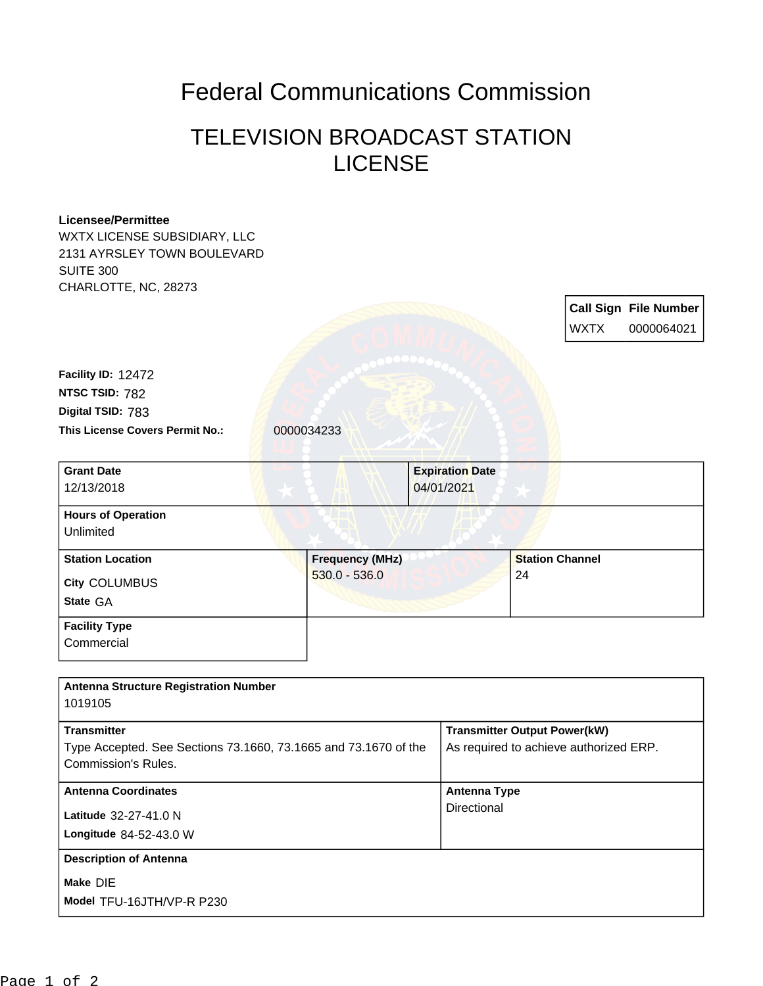## Federal Communications Commission

## TELEVISION BROADCAST STATION **LICENSE**

## **Licensee/Permittee**

WXTX LICENSE SUBSIDIARY, LLC 2131 AYRSLEY TOWN BOULEVARD SUITE 300 CHARLOTTE, NC, 28273

> **Call Sign File Number** WXTX 0000064021

This License Covers Permit No.: 0000034233 **Digital TSID:** 783 **NTSC TSID:** 782 **Facility ID:** 12472

**Commercial** 

| <b>Grant Date</b>         | <b>Expiration Date</b> |                        |
|---------------------------|------------------------|------------------------|
| 12/13/2018                | 04/01/2021             |                        |
| <b>Hours of Operation</b> |                        |                        |
| Unlimited                 |                        |                        |
| <b>Station Location</b>   | <b>Frequency (MHz)</b> | <b>Station Channel</b> |
| <b>City COLUMBUS</b>      | $530.0 - 536.0$        | 24                     |
| State GA                  |                        |                        |
| <b>Facility Type</b>      |                        |                        |

| <b>Antenna Structure Registration Number</b>                                                  |                                        |
|-----------------------------------------------------------------------------------------------|----------------------------------------|
| 1019105                                                                                       |                                        |
| <b>Transmitter</b>                                                                            | <b>Transmitter Output Power(kW)</b>    |
| Type Accepted. See Sections 73.1660, 73.1665 and 73.1670 of the<br><b>Commission's Rules.</b> | As required to achieve authorized ERP. |
| <b>Antenna Coordinates</b>                                                                    | Antenna Type                           |
| Latitude 32-27-41.0 N<br>Longitude 84-52-43.0 W                                               | Directional                            |
| <b>Description of Antenna</b>                                                                 |                                        |
| Make DIE<br>Model TFU-16JTH/VP-R P230                                                         |                                        |